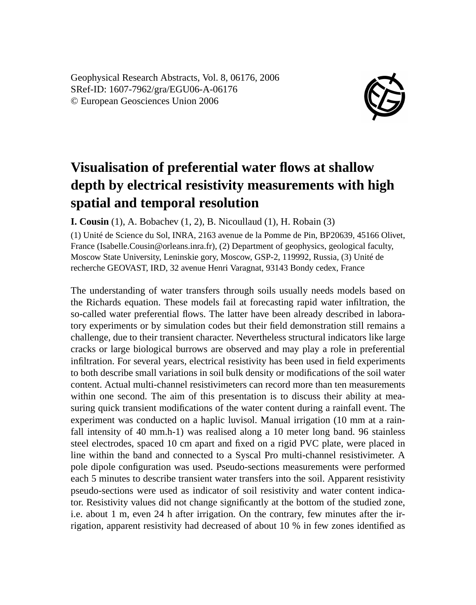Geophysical Research Abstracts, Vol. 8, 06176, 2006 SRef-ID: 1607-7962/gra/EGU06-A-06176 © European Geosciences Union 2006



## **Visualisation of preferential water flows at shallow depth by electrical resistivity measurements with high spatial and temporal resolution**

**I. Cousin** (1), A. Bobachev (1, 2), B. Nicoullaud (1), H. Robain (3)

(1) Unité de Science du Sol, INRA, 2163 avenue de la Pomme de Pin, BP20639, 45166 Olivet, France (Isabelle.Cousin@orleans.inra.fr), (2) Department of geophysics, geological faculty, Moscow State University, Leninskie gory, Moscow, GSP-2, 119992, Russia, (3) Unité de recherche GEOVAST, IRD, 32 avenue Henri Varagnat, 93143 Bondy cedex, France

The understanding of water transfers through soils usually needs models based on the Richards equation. These models fail at forecasting rapid water infiltration, the so-called water preferential flows. The latter have been already described in laboratory experiments or by simulation codes but their field demonstration still remains a challenge, due to their transient character. Nevertheless structural indicators like large cracks or large biological burrows are observed and may play a role in preferential infiltration. For several years, electrical resistivity has been used in field experiments to both describe small variations in soil bulk density or modifications of the soil water content. Actual multi-channel resistivimeters can record more than ten measurements within one second. The aim of this presentation is to discuss their ability at measuring quick transient modifications of the water content during a rainfall event. The experiment was conducted on a haplic luvisol. Manual irrigation (10 mm at a rainfall intensity of 40 mm.h-1) was realised along a 10 meter long band. 96 stainless steel electrodes, spaced 10 cm apart and fixed on a rigid PVC plate, were placed in line within the band and connected to a Syscal Pro multi-channel resistivimeter. A pole dipole configuration was used. Pseudo-sections measurements were performed each 5 minutes to describe transient water transfers into the soil. Apparent resistivity pseudo-sections were used as indicator of soil resistivity and water content indicator. Resistivity values did not change significantly at the bottom of the studied zone, i.e. about 1 m, even 24 h after irrigation. On the contrary, few minutes after the irrigation, apparent resistivity had decreased of about 10 % in few zones identified as